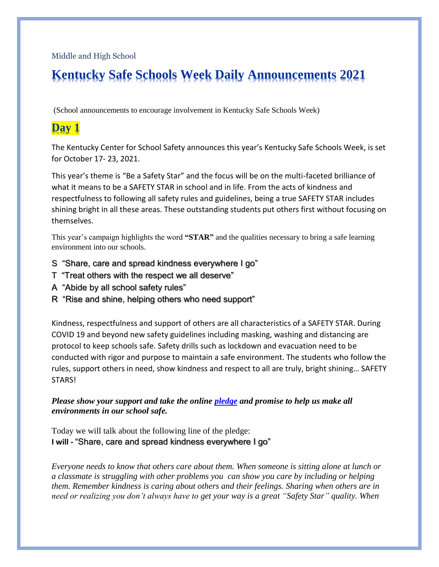Middle and High School

# **Kentucky Safe Schools Week Daily Announcements 2021**

(School announcements to encourage involvement in Kentucky Safe Schools Week)

## **Day 1**

The Kentucky Center for School Safety announces this year's Kentucky Safe Schools Week, is set for October 17- 23, 2021.

This year's theme is "Be a Safety Star" and the focus will be on the multi-faceted brilliance of what it means to be a SAFETY STAR in school and in life. From the acts of kindness and respectfulness to following all safety rules and guidelines, being a true SAFETY STAR includes shining bright in all these areas. These outstanding students put others first without focusing on themselves.

This year's campaign highlights the word **"STAR"** and the qualities necessary to bring a safe learning environment into our schools.

- S "Share, care and spread kindness everywhere I go"
- T "Treat others with the respect we all deserve"
- A "Abide by all school safety rules"
- R "Rise and shine, helping others who need support"

Kindness, respectfulness and support of others are all characteristics of a SAFETY STAR. During COVID 19 and beyond new safety guidelines including masking, washing and distancing are protocol to keep schools safe. Safety drills such as lockdown and evacuation need to be conducted with rigor and purpose to maintain a safe environment. The students who follow the rules, support others in need, show kindness and respect to all are truly, bright shining… SAFETY STARS!

#### *Please show your support and take the online [pledge](https://kycss.org/safe-schools-week/safety-week-pledge/) and promise to help us make all environments in our school safe.*

Today we will talk about the following line of the pledge: **I will -** "Share, care and spread kindness everywhere I go"

*Everyone needs to know that others care about them. When someone is sitting alone at lunch or a classmate is struggling with other problems you can show you care by including or helping them. Remember kindness is caring about others and their feelings. Sharing when others are in need or realizing you don't always have to get your way is a great "Safety Star" quality. When*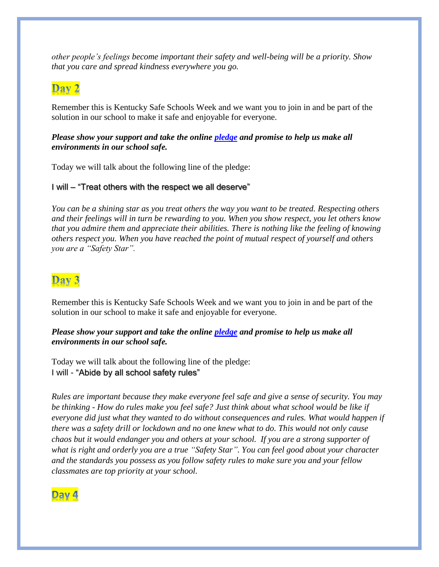*other people's feelings become important their safety and well-being will be a priority. Show that you care and spread kindness everywhere you go.* 

### Day 2

Remember this is Kentucky Safe Schools Week and we want you to join in and be part of the solution in our school to make it safe and enjoyable for everyone.

#### *Please show your support and take the online [pledge](https://kycss.org/safe-schools-week/safety-week-pledge/) and promise to help us make all environments in our school safe.*

Today we will talk about the following line of the pledge:

#### I will – "Treat others with the respect we all deserve"

*You can be a shining star as you treat others the way you want to be treated. Respecting others and their feelings will in turn be rewarding to you. When you show respect, you let others know that you admire them and appreciate their abilities. There is nothing like the feeling of knowing others respect you. When you have reached the point of mutual respect of yourself and others you are a "Safety Star".* 

### Day 3

Remember this is Kentucky Safe Schools Week and we want you to join in and be part of the solution in our school to make it safe and enjoyable for everyone.

#### *Please show your support and take the online [pledge](https://kycss.org/safe-schools-week/safety-week-pledge/) and promise to help us make all environments in our school safe.*

Today we will talk about the following line of the pledge: I will - "Abide by all school safety rules"

*Rules are important because they make everyone feel safe and give a sense of security. You may be thinking - How do rules make you feel safe? Just think about what school would be like if everyone did just what they wanted to do without consequences and rules. What would happen if there was a safety drill or lockdown and no one knew what to do. This would not only cause chaos but it would endanger you and others at your school. If you are a strong supporter of what is right and orderly you are a true "Safety Star". You can feel good about your character and the standards you possess as you follow safety rules to make sure you and your fellow classmates are top priority at your school.*